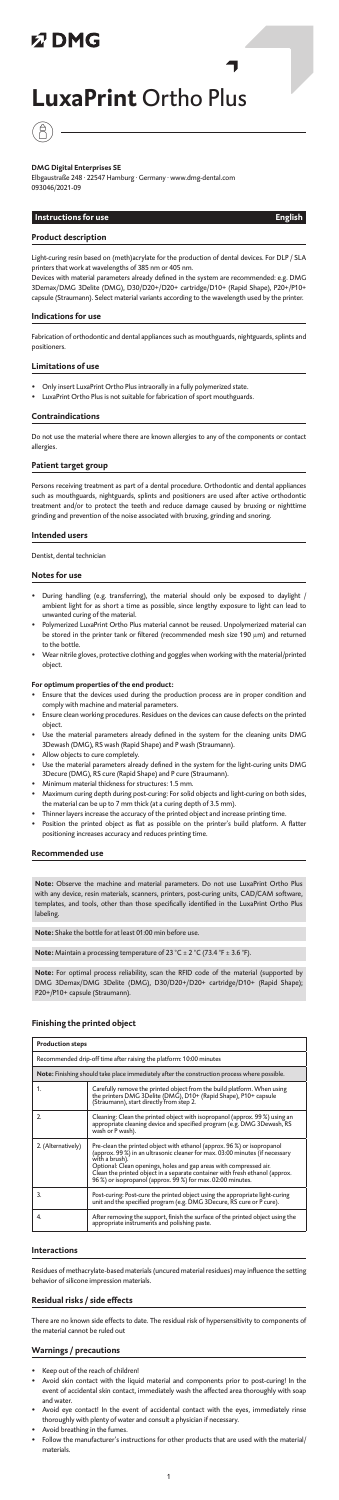## **以DMG**

# **LuxaPrint** Ortho Plus



## **DMG Digital Enterprises SE**

Light-curing resin based on (meth)acrylate for the production of dental devices. For DLP / SLA  $\frac{1}{2}$  twork at wavelengths of 385 nm or 405 nm.

Elbgaustraße 248 · 22547 Hamburg · Germany · www.dmg-dental.com 093046/2021-09

## **Instructions for use English**

Devices with material parameters already defined in the system are recommended: e.g. DMG 3Demax/DMG 3Delite (DMG), D30/D20+/D20+ cartridge/D10+ (Rapid Shape), P20+/P10+  $\frac{1}{2}$  capsule in the select material variants according to the wavelength used by the printer.

## **Product description**

#### **Indications for use**

Fabrication of orthodontic and dental appliances such as mouthguards, nightguards, splints and positioners.

#### **Limitations of use**

• Only insert LuxaPrint Ortho Plus intraorally in a fully polymerized state.

• LuxaPrint Ortho Plus is not suitable for fabrication of sport mouthguards.

#### **Contraindications**

Do not use the material where there are known allergies to any of the components or contact allergies.

## **Patient target group**

Persons receiving treatment as part of a dental procedure. Orthodontic and dental appliances such as mouthguards, nightguards, splints and positioners are used after active orthodontic treatment and/or to protect the teeth and reduce damage caused by bruxing or nighttime grinding and prevention of the noise associated with bruxing, grinding and snoring.

## **Intended users**

Dentist, dental technician

#### **Notes for use**

- During handling (e.g. transferring), the material should only be exposed to daylight / ambient light for as short a time as possible, since lengthy exposure to light can lead to unwanted curing of the material.<br>Polymerized LuxaPrint Ortho Plu
- ,<br>aPrint Ortho Plus material cannot be reused. Unpolymerized material car be stored in the printer tank or filtered (recommended mesh size 190 µm) and returned to the bottle.
- Wear nitrile gloves, protective clothing and goggles when working with the material/printed object.

## **For optimum properties of the end product:**

- Ensure that the devices used during the production process are in proper condition and comply with machine and material parameters.<br>Ensure clean working procedures, Residues on
- $\widetilde{\phantom{a}}$  re clean working procedures. Residues on the devices can cause defects on the printed object.
- Use the material parameters already defined in the system for the cleaning units DMG 3Dewash (DMG), RS wash (Rapid Shape) and P wash (Straumann).
- Allow objects to cure completely.
- Use the material parameters already defined in the system for the light-curing units DMG 3Decure (DMG), RS cure (Rapid Shape) and P cure (Straumann).
- Minimum material thickness for structures: 1.5 mm. • Maximum curing depth during post-curing: For solid objects and light-curing on both sides, the material can be up to 7 mm thick (at a curing depth of 3.5 mm).
- Thinner layers increase the accuracy of the printed object and increase printing time.
- Position the printed object as flat as possible on the printer's build platform. A flatter positioning increases accuracy and reduces printing time.

#### **Recommended use**

**Note:** Observe the machine and material parameters. Do not use LuxaPrint Ortho Plus with any device, resin materials, scanners, printers, post-curing units, CAD/CAM software, templates, and tools, other than those specifically identified in the LuxaPrint Ortho Plus labeling.

**Note:** Shake the bottle for at least 01:00 min before use.

**Note:** Maintain a processing temperature of 23 °C ± 2 °C (73.4 °F ± 3.6 °F).

**Note:** For optimal process reliability, scan the RFID code of the material (supported by 3Demax/DMG 3Delite (DMG), D30/D20+/D20+ cartridge/D10+ (Rapid Shape); P20+/P10+ capsule (Straumann).

## **Finishing the printed object**

| <b>Production steps</b>                                             |                                                                                                                                                                                                                                                                                                                                                                                                |
|---------------------------------------------------------------------|------------------------------------------------------------------------------------------------------------------------------------------------------------------------------------------------------------------------------------------------------------------------------------------------------------------------------------------------------------------------------------------------|
| Recommended drip-off time after raising the platform: 10:00 minutes |                                                                                                                                                                                                                                                                                                                                                                                                |
|                                                                     | Note: Finishing should take place immediately after the construction process where possible.                                                                                                                                                                                                                                                                                                   |
| 1.                                                                  | Carefully remove the printed object from the build platform. When using<br>the printers DMG 3Delite (DMG), D10+ (Rapid Shape), P10+ capsule<br>(Straumann), start directly from step 2.                                                                                                                                                                                                        |
| 2.                                                                  | Cleaning: Clean the printed object with isopropanol (approx. 99 %) using an<br>appropriate cleaning device and specified program (e.g. DMG 3Dewash, RS<br>wash or P wash).                                                                                                                                                                                                                     |
| 2. (Alternatively)                                                  | Pre-clean the printed object with ethanol (approx. 96 %) or isopropanol<br>(approx. 99 %) in an ultrasonic cleaner for max. 03:00 minutes (if necessary<br>with a brush).<br>Optional: Clean openings, holes and gap areas with compressed air.<br>Clean the printed object in a separate container with fresh ethanol (approx.<br>96 %) or isopropanol (approx. 99 %) for max. 02:00 minutes. |
| 3.                                                                  | Post-curing: Post-cure the printed object using the appropriate light-curing<br>unit and the specified program (e.g. DMG 3Decure, RS cure or P cure).                                                                                                                                                                                                                                          |
| 4.                                                                  | After removing the support, finish the surface of the printed object using the<br>appropriate instruments and polishing paste.                                                                                                                                                                                                                                                                 |

#### **Interactions**

Residues of methacrylate-based materials (uncured material residues) may influence the setting behavior of silicone impression materials.

#### **Residual risks / side effects**

There are no known side effects to date. The residual risk of hypersensitivity to components of the material cannot be ruled out

#### **Warnings / precautions**

- Keep out of the reach of children!
- Avoid skin contact with the liquid material and components prior to post-curing! In the event of accidental skin contact, immediately wash the affected area thoroughly with soap and water.
- Avoid eye contact! In the event of accidental contact with the eyes, immediately rinse thoroughly with plenty of water and consult a physician if necessary.
- Avoid breathing in the fumes.<br>Follow the manufacturer's in:
- $\dot{}$ ufacturer's instructions for other products that are used with the material/ materials.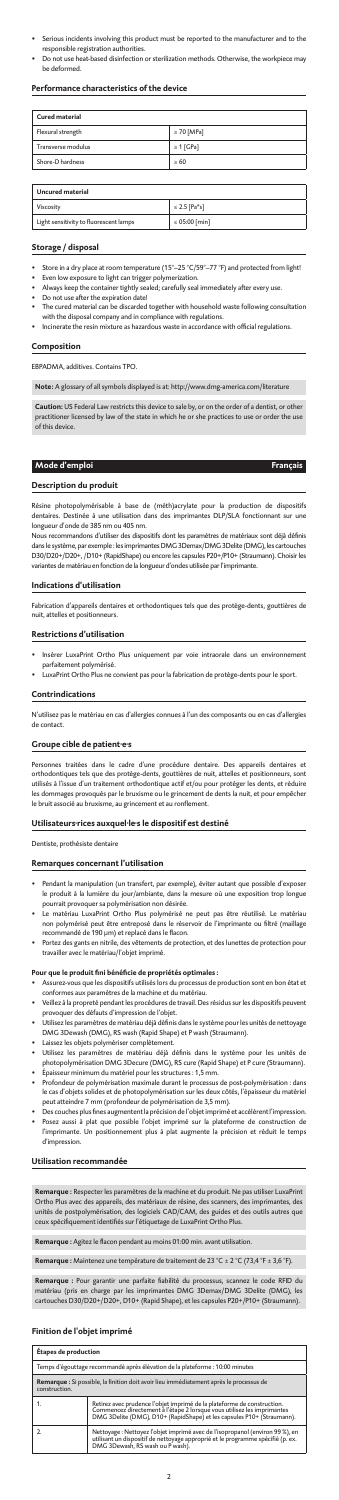- Serious incidents involving this product must be reported to the manufacturer and to the responsible registration authoriti
- Do not use heat-based disinfection or sterilization methods. Otherwise, the workpiece may be deformed.

- Store in a dry place at room temperature (15°–25 °C/59°–77 °F) and protected from light!
- Even low exposure to light can trigger polymerization. Always keep the container tightly sealed; carefully seal immediately after every use.<br>Do not use after the expiration datel
- after the expiration date!
- The cured material can be discarded together with household waste following consultation with the disposal company and in compliance with regulations.<br>Incinerate the resin mixture as hazardous waste in accordance
- $\frac{1}{\sqrt{2}}$  is hazardous waste in accordance with official regulations.

## **Performance characteristics of the device**

| Cured material     |                 |
|--------------------|-----------------|
| Flexural strength  | $\geq 70$ [MPa] |
| Transverse modulus | $\geq 1$ [GPa]  |
| Shore-D hardness   | >60             |

| <b>Uncured material</b>                |                   |
|----------------------------------------|-------------------|
| Viscosity                              | $\leq$ 2.5 [Pa*s] |
| Light sensitivity to fluorescent lamps | ≤ 05:00 [min]     |

## **Storage / disposal**

,<br>1s recommandons d'utiliser des dispositifs dont les paramètres de matériaux sont déjà définis dans le système, par exemple : les imprimantes DMG 3Demax/DMG 3Delite (DMG), les cartouches D30/D20+/D20+, /D10+ (RapidShape) ou encore les capsules P20+/P10+ (Straumann). Choisir les variantes de matériau en fonction de la longueur d'ondes utilisée par l'imprimante.

## **Composition**

EBPADMA, additives. Contains TPO.

**Note:** A glossary of all symbols displayed is at: http://www.dmg-america.com/literature

**Caution:** US Federal Law restricts this device to sale by, or on the order of a dentist, or other practitioner licensed by law of the state in which he or she practices to use or order the use of this device.

Personnes traitées dans le cadre d'une procédure dentaire. Des appareils dentaires et orthodontiques tels que des protège-dents, gouttières de nuit, attelles et positionneurs, sont utilisés à l'issue d'un traitement orthodontique actif et/ou pour protéger les dents, et réduire les dommages provoqués par le bruxisme ou le grincement de dents la nuit, et pour empêcher le bruit associé au bruxisme, au grincement et au ronflem

## **Mode d'emploi Français**

## **Description du produit**

Résine photopolymérisable à base de (méth)acrylate pour la production de dispositifs dentaires. Destinée à une utilisation dans des imprimantes DLP/SLA fonctionnant sur une longueur d'onde de 385 nm ou 405 nm.

#### **Indications d'utilisation**

Fabrication d'appareils dentaires et orthodontiques tels que des protège-dents, gouttières de nuit, attelles et positionneurs.

#### **Restrictions d'utilisation**

- Insérer LuxaPrint Ortho Plus uniquement par voie intraorale dans un environnement parfaitement polymérisé.
- LuxaPrint Ortho Plus ne convient pas pour la fabrication de protège-dents pour le sport.

#### **Contrindications**

N'utilisez pas le matériau en cas d'allergies connues à l'un des composants ou en cas d'allergies de contact.

#### **Groupe cible de patient·e·s**

## **Utilisateurs·rices auxquel·le·s le dispositif est destiné**

Dentiste, prothésiste dentaire

## **Remarques concernant l'utilisation**

- Pendant la manipulation (un transfert, par exemple), éviter autant que possible d'exposer le produit à la lumière du jour/ambiante, dans la mesure où une exposition trop longue pourrait provoquer sa polymérisation non désirée.
- Le matériau LuxaPrint Ortho Plus polymérisé ne peut pas être réutilisé. Le matériau non polymérisé peut être entreposé dans le réservoir de l'imprimante ou filtré (maillage recommandé de 190 μm) et replacé dans le flacon.
- Portez des gants en nitrile, des vêtements de protection, et des lunettes de protection pour travailler avec le matériau/l'objet imprimé.

#### **Pour que le produit fini bénéficie de propriétés optimales :**

- Assurez-vous que les dispositifs utilisés lors du processus de production sont en bon état et conformes aux paramètres de la machine et du matériau.
- Veillez à la propreté pendant les procédures de travail. Des résidus sur les dispositifs peuvent provoquer des défauts d'impression de l'objet.
- Utilisez les paramètres de matériau déjà définis dans le système pour les unités de nettoyage DMG 3Dewash (DMG), RS wash (Rapid Shape) et P wash (Straumann).
- Laissez les objets polymériser complètement.
- Utilisez les paramètres de matériau déjà définis dans le système pour les unités de photopolymérisation DMG 3Decure (DMG), RS cure (Rapid Shape) et P cure (Straumann). • Épaisseur minimum du matériel pour les structures : 1,5 mm.
- Profondeur de polymérisation maximale durant le processus de post-polymérisation : dans le cas d'objets solides et de photopolymérisation sur les deux côtés, l'épaisseur du matériel peut atteindre 7 mm (profondeur de polymérisation de 3,5 mm).
- Des couches plus fines augmentent la précision de l'objet imprimé et accélèrent l'impression.
- Posez aussi à plat que possible l'objet imprimé sur la plateforme de construction de l'imprimante. Un positionnement plus à plat augmente la précision et réduit le temps d'impression.

## **Utilisation recommandée**

**Remarque :** Respecter les paramètres de la machine et du produit. Ne pas utiliser LuxaPrint Ortho Plus avec des appareils, des matériaux de résine, des scanners, des imprimantes, des unités de postpolymérisation, des logiciels CAD/CAM, des guides et des outils autres que ceux spécifiquement identifiés sur l'étiquetage de LuxaPrint Ortho Plus.

**Remarque :** Agitez le flacon pendant au moins 01:00 min. avant utilisation.

**Remarque :** Maintenez une température de traitement de 23 °C ± 2 °C (73,4 °F ± 3,6 °F).

**Remarque :** Pour garantir une parfaite fiabilité du processus, scannez le code RFID du matériau (pris en charge par les imprimantes DMG 3Demax/DMG 3Delite (DMG), les cartouches D30/D20+/D20+, D10+ (Rapid Shape), et les capsules P20+/P10+ (Straumann).

## **Finition de l'objet imprimé**

| <b>Étapes de production</b>                                                                              |                                                                                                                                                                                                                              |
|----------------------------------------------------------------------------------------------------------|------------------------------------------------------------------------------------------------------------------------------------------------------------------------------------------------------------------------------|
| Temps d'égouttage recommandé après élévation de la plateforme : 10:00 minutes                            |                                                                                                                                                                                                                              |
| Remarque : Si possible, la finition doit avoir lieu immédiatement après le processus de<br>construction. |                                                                                                                                                                                                                              |
|                                                                                                          | Retirez avec prudence l'objet imprimé de la plateforme de construction.<br>Commencez directement à l'étape 2 lorsque vous utilisez les imprimantes<br>DMG 3Delite (DMG), D10+ (RapidShape) et les capsules P10+ (Straumann). |
|                                                                                                          | Nettoyage : Nettoyez l'objet imprimé avec de l'isopropanol (environ 99 %), en<br>utilisant un dispositif de nettoyage approprié et le programme spécifié (p. ex.<br>DMG 3Dewash, RS wash ou P wash).                         |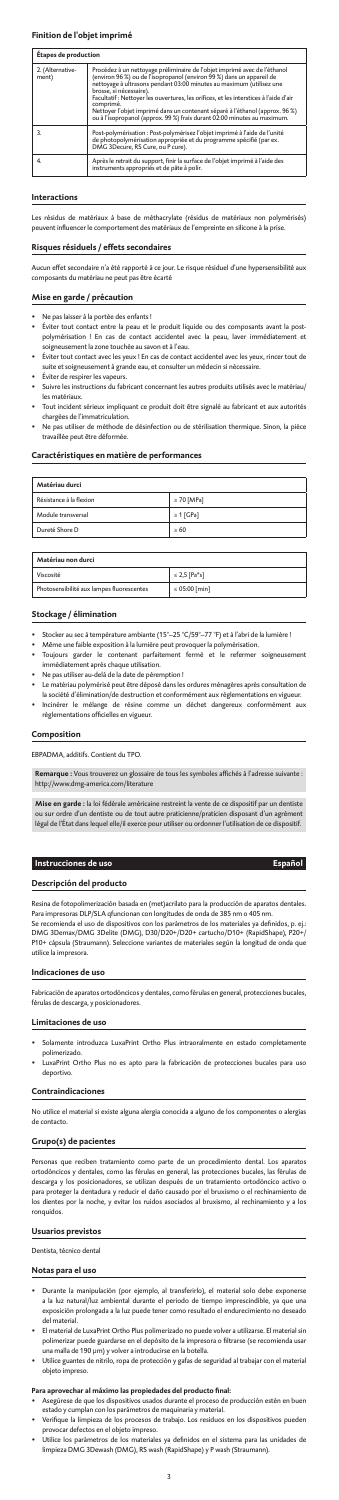## **Finition de l'objet imprimé**

## **Étapes de production**

| 2. (Alternative-<br>ment) | Procédez à un nettoyage préliminaire de l'objet imprimé avec de l'éthanol<br>(environ 96 %) ou de l'isopropanol (environ 99 %) dans un appareil de<br>nettoyage à ultrasons pendant 03:00 minutes au maximum (utilisez une<br>brosse, si nécessaire).<br>Facultatif : Nettoyer les ouvertures, les orifices, et les interstices à l'aide d'air<br>comprimé.<br>Nettoyer l'objet imprimé dans un contenant séparé à l'éthanol (approx. 96 %)<br>ou à l'isopropanol (approx. 99 %) frais durant 02:00 minutes au maximum. |
|---------------------------|-------------------------------------------------------------------------------------------------------------------------------------------------------------------------------------------------------------------------------------------------------------------------------------------------------------------------------------------------------------------------------------------------------------------------------------------------------------------------------------------------------------------------|
|                           | Post-polymérisation : Post-polymérisez l'objet imprimé à l'aide de l'unité<br>de photópolymérisation apprópriée et du programme spécifié (par ex.<br>DMG 3Decure, RS Cure, ou P cure).                                                                                                                                                                                                                                                                                                                                  |
| 4.                        | Après le retrait du support, finir la surface de l'objet imprimé à l'aide des<br>instruments appropriés et de pâte à polir.                                                                                                                                                                                                                                                                                                                                                                                             |

#### **Interactions**

Les résidus de matériaux à base de méthacrylate (résidus de matériaux non polymérisés) peuvent influencer le comportement des matériaux de l'empreinte en silicone à la prise.

- Ne pas laisser à la portée des enfants !<br>Éviter tout contact entre la peau et l
- .<br>:t entre la peau et le produit liquide ou des composants avant la postpolymérisation ! En cas de contact accidentel avec la peau, laver immédiatement et soigneusement la zone touchée au savon et à l'eau.
- Éviter tout contact avec les yeux ! En cas de contact accidentel avec les yeux, rincer tout de suite et soigneusement à grande eau, et consulter un médecin si nécessaire.
- •<br>Éviter de respirer les vapeurs.<br>Suivre les instructions du fab
- Suivre les instructions du fabricant concernant les autres produits utilisés avec le matériau/ les matériaux.
- Tout incident sérieux impliquant ce produit doit être signalé au fabricant et aux autorités chargées de l'immatriculation.
- Ne pas utiliser de méthode de désinfection ou de stérilisation thermique. Sinon, la pièce travaillée peut être déformée.

## **Risques résiduels / effets secondaires**

Aucun effet secondaire n'a été rapporté à ce jour. Le risque résiduel d'une hypersensibilité aux composants du matériau ne peut pas être écarté

## **Mise en garde / précaution**

.<br>Se recomienda el uso de dispositivos con los parámetros de los materiales ya definidos, p. ej.: DMG 3Demax/DMG 3Delite (DMG), D30/D20+/D20+ cartucho/D10+ (RapidShape), P20+/ P10+ cápsula (Straumann). Seleccione variantes de materiales según la longitud de onda que utilice la impresora.

## **Caractéristiques en matière de performances**

| Matériau durci          |                 |
|-------------------------|-----------------|
| Résistance à la flexion | $\geq 70$ [MPa] |
| Module transversal      | $\geq 1$ [GPa]  |
| Dureté Shore D          | >60             |

| Matériau non durci                        |                    |  |
|-------------------------------------------|--------------------|--|
| Viscosité                                 | $\leq$ 2,5 [Pa*s]  |  |
| Photosensibilité aux lampes fluorescentes | $\leq 05:00$ [min] |  |

## **Stockage / élimination**

as que reciben tratamiento como parte de un procedimiento dental. Los ap ortodóncicos y dentales, como las férulas en general, las protecciones bucales, las férulas de descarga y los posicionadores, se utilizan después de un tratamiento ortodóncico activo o para proteger la dentadura y reducir el daño causado por el bruxismo o el rechinamiento los dientes por la noche, y evitar los ruidos asociados al bruxismo, al rechinamiento y a los ronquidos.

- Stocker au sec à température ambiante (15°–25 °C/59°–77 °F) et à l'abri de la lumière !
- Même une faible exposition à la lumière peut provoquer la polymérisation.
- Toujours garder le contenant parfaitement fermé et le refermer soigneusement immédiatement après chaque utilisation.
- Ne pas utiliser au-delà de la date de péremption !
- .<br>natériau polymérisé peut être déposé dans les ordures ménagères après consultation de
- la société d'élimination/de destruction et conformément aux réglementations en vigueur. • Incinérer le mélange de résine comme un déchet dangereux conformément aux réglementations officielles en vigueur.

## **Composition**

EBPADMA, additifs. Contient du TPO.

- Asegúrese de que los dispositivos usados durante el proceso de producción estén en bu estado y cumplan con los parámetros de maquinaria y material.
- Verifique la limpieza de los procesos de trabajo. Los residuos en los dispositivos pueden provocar defectos en el objeto impreso.
- Utilice los parámetros de los materiales ya definidos en el sistema para las unidades de limpieza DMG 3Dewash (DMG), RS wash (RapidShape) y P wash (Straumann).

**Remarque :** Vous trouverez un glossaire de tous les symboles affichés à l'adresse suivante : http://www.dmg-america.com/literature

**Mise en garde :** la loi fédérale américaine restreint la vente de ce dispositif par un dentiste ou sur ordre d'un dentiste ou de tout autre praticienne/praticien disposant d'un agrément légal de l'État dans lequel elle/il exerce pour utiliser ou ordonner l'utilisation de ce dispositif.

## **Instrucciones de uso Español**

## **Descripción del producto**

Resina de fotopolimerización basada en (met)acrilato para la producción de aparatos dentales. Para impresoras DLP/SLA qfuncionan con longitudes de onda de 385 nm o 405 nm.

## **Indicaciones de uso**

Fabricación de aparatos ortodóncicos y dentales, como férulas en general, protecciones bucales, férulas de descarga, y posicionadores.

#### **Limitaciones de uso**

- Solamente introduzca LuxaPrint Ortho Plus intraoralmente en estado completamente polimerizado.
- LuxaPrint Ortho Plus no es apto para la fabricación de protecciones bucales para uso deportivo.

#### **Contraindicaciones**

No utilice el material si existe alguna alergia conocida a alguno de los componentes o alergias

de contacto.

## **Grupo(s) de pacientes**

#### **Usuarios previstos**

Dentista, técnico dental

#### **Notas para el uso**

- Durante la manipulación (por ejemplo, al transferirlo), el material solo debe exponerse a la luz natural/luz ambiental durante el periodo de tiempo imprescindible, ya que una exposición prolongada a la luz puede tener como resultado el endurecimiento no deseado del material.
- El material de LuxaPrint Ortho Plus polimerizado no puede volver a utilizarse. El material sin polimerizar puede guardarse en el depósito de la impresora o filtrarse (se recomienda usar una malla de 190 μm) y volver a introducirse en la botella.
- Utilice guantes de nitrilo, ropa de protección y gafas de seguridad al trabajar con el material objeto impreso.

## **Para aprovechar al máximo las propiedades del producto final:**